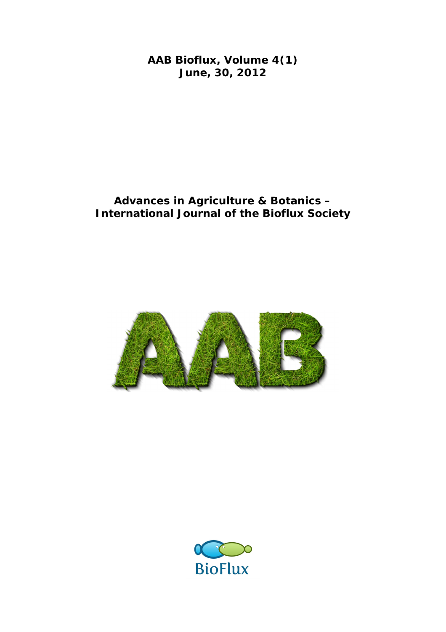**AAB Bioflux, Volume 4(1) June, 30, 2012**

# **Advances in Agriculture & Botanics – International Journal of the Bioflux Society**



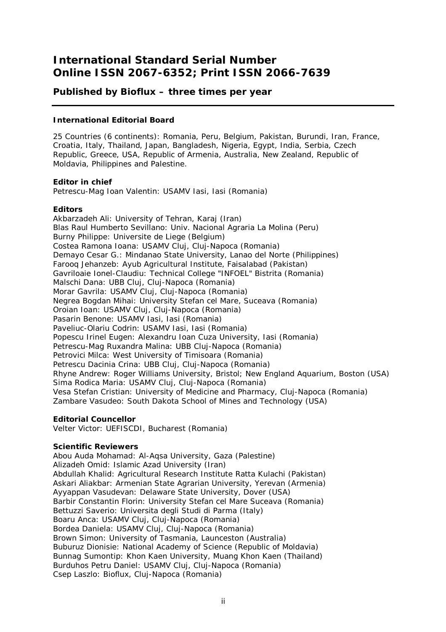# **International Standard Serial Number Online ISSN 2067-6352; Print ISSN 2066-7639**

# **Published by Bioflux – three times per year**

## **International Editorial Board**

25 Countries (6 continents): Romania, Peru, Belgium, Pakistan, Burundi, Iran, France, Croatia, Italy, Thailand, Japan, Bangladesh, Nigeria, Egypt, India, Serbia, Czech Republic, Greece, USA, Republic of Armenia, Australia, New Zealand, Republic of Moldavia, Philippines and Palestine.

### **Editor in chief**

Petrescu-Mag Ioan Valentin: USAMV Iasi, Iasi (Romania)

## **Editors**

Akbarzadeh Ali: University of Tehran, Karaj (Iran) Blas Raul Humberto Sevillano: Univ. Nacional Agraria La Molina (Peru) Burny Philippe: Universite de Liege (Belgium) Costea Ramona Ioana: USAMV Cluj, Cluj-Napoca (Romania) Demayo Cesar G.: Mindanao State University, Lanao del Norte (Philippines) Farooq Jehanzeb: Ayub Agricultural Institute, Faisalabad (Pakistan) Gavriloaie Ionel-Claudiu: Technical College "INFOEL" Bistrita (Romania) Malschi Dana: UBB Cluj, Cluj-Napoca (Romania) Morar Gavrila: USAMV Cluj, Cluj-Napoca (Romania) Negrea Bogdan Mihai: University Stefan cel Mare, Suceava (Romania) Oroian Ioan: USAMV Cluj, Cluj-Napoca (Romania) Pasarin Benone: USAMV Iasi, Iasi (Romania) Paveliuc-Olariu Codrin: USAMV Iasi, Iasi (Romania) Popescu Irinel Eugen: Alexandru Ioan Cuza University, Iasi (Romania) Petrescu-Mag Ruxandra Malina: UBB Cluj-Napoca (Romania) Petrovici Milca: West University of Timisoara (Romania) Petrescu Dacinia Crina: UBB Cluj, Cluj-Napoca (Romania) Rhyne Andrew: Roger Williams University, Bristol; New England Aquarium, Boston (USA) Sima Rodica Maria: USAMV Cluj, Cluj-Napoca (Romania) Vesa Stefan Cristian: University of Medicine and Pharmacy, Cluj-Napoca (Romania) Zambare Vasudeo: South Dakota School of Mines and Technology (USA)

## **Editorial Councellor**

Velter Victor: UEFISCDI, Bucharest (Romania)

### **Scientific Reviewers**

Abou Auda Mohamad: Al-Aqsa University, Gaza (Palestine) Alizadeh Omid: Islamic Azad University (Iran) Abdullah Khalid: Agricultural Research Institute Ratta Kulachi (Pakistan) Askari Aliakbar: Armenian State Agrarian University, Yerevan (Armenia) Ayyappan Vasudevan: Delaware State University, Dover (USA) Barbir Constantin Florin: University Stefan cel Mare Suceava (Romania) Bettuzzi Saverio: Universita degli Studi di Parma (Italy) Boaru Anca: USAMV Cluj, Cluj-Napoca (Romania) Bordea Daniela: USAMV Cluj, Cluj-Napoca (Romania) Brown Simon: University of Tasmania, Launceston (Australia) Buburuz Dionisie: National Academy of Science (Republic of Moldavia) Bunnag Sumontip: Khon Kaen University, Muang Khon Kaen (Thailand) Burduhos Petru Daniel: USAMV Cluj, Cluj-Napoca (Romania) Csep Laszlo: Bioflux, Cluj-Napoca (Romania)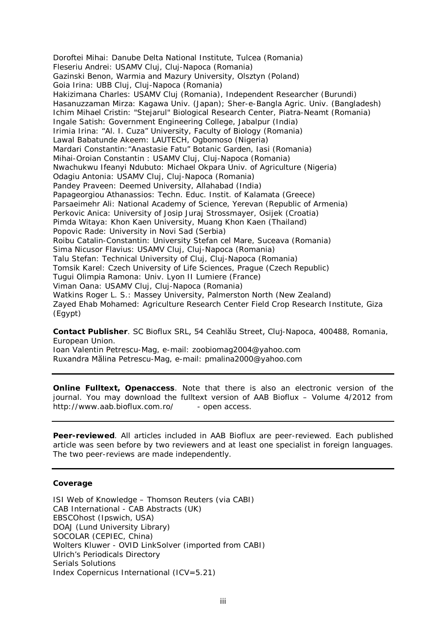Doroftei Mihai: Danube Delta National Institute, Tulcea (Romania) Fleseriu Andrei: USAMV Cluj, Cluj-Napoca (Romania) Gazinski Benon, Warmia and Mazury University, Olsztyn (Poland) Goia Irina: UBB Cluj, Cluj-Napoca (Romania) Hakizimana Charles: USAMV Cluj (Romania), Independent Researcher (Burundi) Hasanuzzaman Mirza: Kagawa Univ. (Japan); Sher-e-Bangla Agric. Univ. (Bangladesh) Ichim Mihael Cristin: "Stejarul" Biological Research Center, Piatra-Neamt (Romania) Ingale Satish: Government Engineering College, Jabalpur (India) Irimia Irina: "Al. I. Cuza" University, Faculty of Biology (Romania) Lawal Babatunde Akeem: LAUTECH, Ogbomoso (Nigeria) Mardari Constantin:"Anastasie Fatu" Botanic Garden, Iasi (Romania) Mihai-Oroian Constantin : USAMV Cluj, Cluj-Napoca (Romania) Nwachukwu Ifeanyi Ndubuto: Michael Okpara Univ. of Agriculture (Nigeria) Odagiu Antonia: USAMV Cluj, Cluj-Napoca (Romania) Pandey Praveen: Deemed University, Allahabad (India) Papageorgiou Athanassios: Techn. Educ. Instit. of Kalamata (Greece) Parsaeimehr Ali: National Academy of Science, Yerevan (Republic of Armenia) Perkovic Anica: University of Josip Juraj Strossmayer, Osijek (Croatia) Pimda Witaya: Khon Kaen University, Muang Khon Kaen (Thailand) Popovic Rade: University in Novi Sad (Serbia) Roibu Catalin-Constantin: University Stefan cel Mare, Suceava (Romania) Sima Nicusor Flavius: USAMV Cluj, Cluj-Napoca (Romania) Talu Stefan: Technical University of Cluj, Cluj-Napoca (Romania) Tomsik Karel: Czech University of Life Sciences, Prague (Czech Republic) Tugui Olimpia Ramona: Univ. Lyon II Lumiere (France) Viman Oana: USAMV Cluj, Cluj-Napoca (Romania) Watkins Roger L. S.: Massey University, Palmerston North (New Zealand) Zayed Ehab Mohamed: Agriculture Research Center Field Crop Research Institute, Giza (Egypt)

**Contact Publisher**. SC Bioflux SRL, 54 Ceahlău Street, Cluj-Napoca, 400488, Romania, European Union.

Ioan Valentin Petrescu-Mag, e-mail: zoobiomag2004@yahoo.com Ruxandra Mălina Petrescu-Mag, e-mail: pmalina2000@yahoo.com

**Online Fulltext, Openaccess**. Note that there is also an electronic version of the journal. You may download the fulltext version of AAB Bioflux – Volume 4/2012 from http://www.aab.bioflux.com.ro/ - open access.

**Peer-reviewed**. All articles included in AAB Bioflux are peer-reviewed. Each published article was seen before by two reviewers and at least one specialist in foreign languages. The two peer-reviews are made independently.

### **Coverage**

ISI Web of Knowledge – Thomson Reuters (via CABI) CAB International - CAB Abstracts (UK) EBSCOhost (Ipswich, USA) DOAJ (Lund University Library) SOCOLAR (CEPIEC, China) Wolters Kluwer - OVID LinkSolver (imported from CABI) Ulrich's Periodicals Directory Serials Solutions Index Copernicus International (ICV=5.21)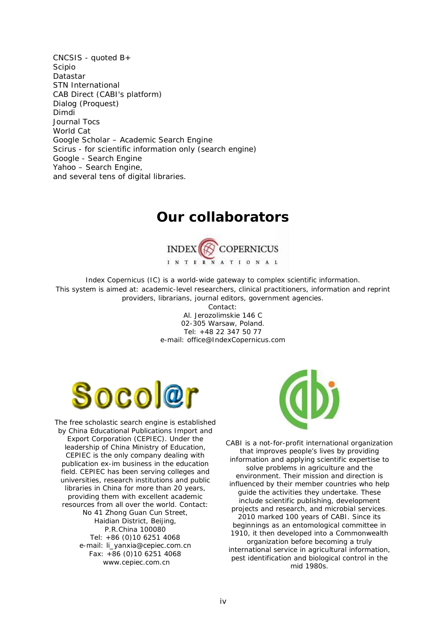CNCSIS - quoted B+ Scipio Datastar STN International CAB Direct (CABI's platform) Dialog (Proquest) Dimdi Journal Tocs World Cat Google Scholar – Academic Search Engine Scirus - for scientific information only (search engine) Google - Search Engine Yahoo – Search Engine, and several tens of digital libraries.

# **Our collaborators**



Index Copernicus (IC) is a world-wide gateway to complex scientific information. This system is aimed at: academic-level researchers, clinical practitioners, information and reprint providers, librarians, journal editors, government agencies.

> Contact: Al. Jerozolimskie 146 C 02-305 Warsaw, Poland. Tel: +48 22 347 50 77 e-mail: office@IndexCopernicus.com



The free scholastic search engine is established by China Educational Publications Import and Export Corporation (CEPIEC). Under the leadership of China Ministry of Education, CEPIEC is the only company dealing with publication ex-im business in the education field. CEPIEC has been serving colleges and universities, research institutions and public libraries in China for more than 20 years, providing them with excellent academic resources from all over the world. Contact: No 41 Zhong Guan Cun Street, Haidian District, Beijing, P.R.China 100080 Tel: +86 (0)10 6251 4068 e-mail: li\_yanxia@cepiec.com.cn Fax: +86 (0)10 6251 4068 www.cepiec.com.cn



CABI is a not-for-profit international organization that improves people's lives by providing information and applying scientific expertise to solve problems in agriculture and the environment. Their mission and direction is influenced by their member countries who help guide the activities they undertake. These include scientific publishing, development projects and research, and microbial services. 2010 marked 100 years of CABI. Since its beginnings as an entomological committee in 1910, it then developed into a Commonwealth organization before becoming a truly international service in agricultural information, pest identification and biological control in the mid 1980s.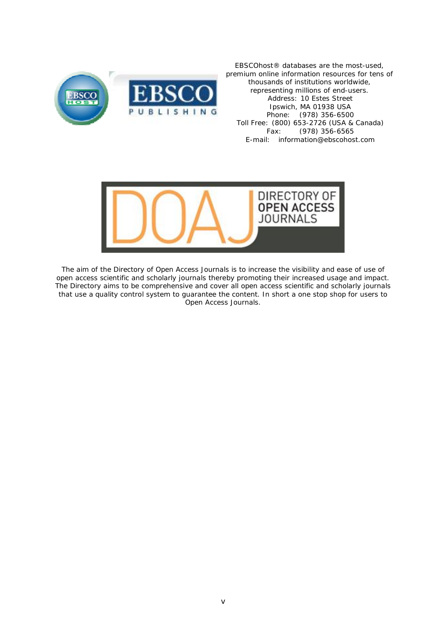

EBSCO*host®* databases are the most-used, premium online information resources for tens of thousands of institutions worldwide, representing millions of end-users. Address: 10 Estes Street Ipswich, MA 01938 USA Phone: (978) 356-6500 Toll Free: (800) 653-2726 (USA & Canada) Fax: (978) 356-6565 E-mail: information@ebscohost.com



The aim of the Directory of Open Access Journals is to increase the visibility and ease of use of open access scientific and scholarly journals thereby promoting their increased usage and impact. The Directory aims to be comprehensive and cover all open access scientific and scholarly journals that use a quality control system to guarantee the content. In short a one stop shop for users to Open Access Journals.